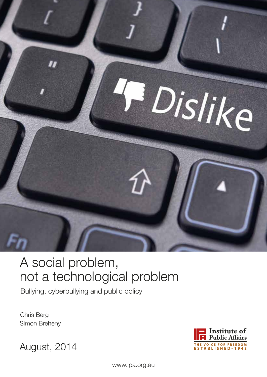

# A social problem, not a technological problem

Bullying, cyberbullying and public policy

Chris Berg Simon Breheny



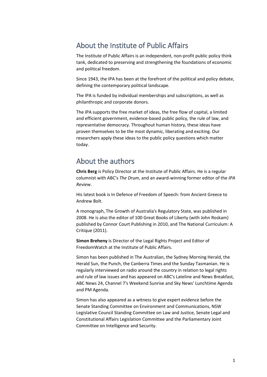### About the Institute of Public Affairs

The Institute of Public Affairs is an independent, non-profit public policy think tank, dedicated to preserving and strengthening the foundations of economic and political freedom.

Since 1943, the IPA has been at the forefront of the political and policy debate, defining the contemporary political landscape.

The IPA is funded by individual memberships and subscriptions, as well as philanthropic and corporate donors.

The IPA supports the free market of ideas, the free flow of capital, a limited and efficient government, evidence-based public policy, the rule of law, and representative democracy. Throughout human history, these ideas have proven themselves to be the most dynamic, liberating and exciting. Our researchers apply these ideas to the public policy questions which matter today.

### About the authors

**Chris Berg** is Policy Director at the Institute of Public Affairs. He is a regular columnist with ABC's *The Drum*, and an award-winning former editor of the *IPA Review*.

His latest book is In Defence of Freedom of Speech: from Ancient Greece to Andrew Bolt.

A monograph, The Growth of Australia's Regulatory State, was published in 2008. He is also the editor of 100 Great Books of Liberty (with John Roskam) published by Connor Court Publishing in 2010, and The National Curriculum: A Critique (2011).

**Simon Breheny** is Director of the Legal Rights Project and Editor of FreedomWatch at the Institute of Public Affairs.

Simon has been published in The Australian, the Sydney Morning Herald, the Herald Sun, the Punch, the Canberra Times and the Sunday Tasmanian. He is regularly interviewed on radio around the country in relation to legal rights and rule of law issues and has appeared on ABC's Lateline and News Breakfast, ABC News 24, Channel 7's Weekend Sunrise and Sky News' Lunchtime Agenda and PM Agenda.

Simon has also appeared as a witness to give expert evidence before the Senate Standing Committee on Environment and Communications, NSW Legislative Council Standing Committee on Law and Justice, Senate Legal and Constitutional Affairs Legislation Committee and the Parliamentary Joint Committee on Intelligence and Security.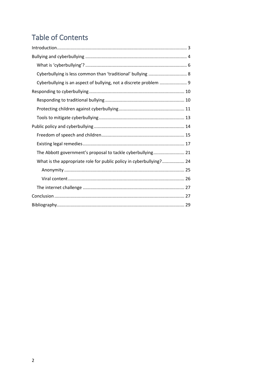# **Table of Contents**

<span id="page-2-0"></span>

| Cyberbullying is an aspect of bullying, not a discrete problem  9   |  |
|---------------------------------------------------------------------|--|
|                                                                     |  |
|                                                                     |  |
|                                                                     |  |
|                                                                     |  |
|                                                                     |  |
|                                                                     |  |
|                                                                     |  |
| The Abbott government's proposal to tackle cyberbullying 21         |  |
| What is the appropriate role for public policy in cyberbullying? 24 |  |
|                                                                     |  |
|                                                                     |  |
|                                                                     |  |
|                                                                     |  |
|                                                                     |  |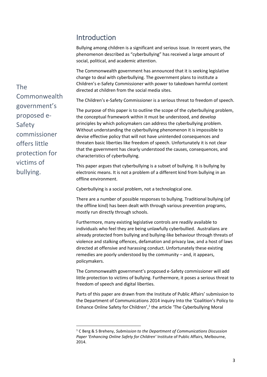### Introduction

Bullying among children is a significant and serious issue. In recent years, the phenomenon described as "cyberbullying" has received a large amount of social, political, and academic attention.

The Commonwealth government has announced that it is seeking legislative change to deal with cyberbullying. The government plans to institute a Children's e-Safety Commissioner with power to takedown harmful content directed at children from the social media sites.

The Children's e-Safety Commissioner is a serious threat to freedom of speech.

The purpose of this paper is to outline the scope of the cyberbullying problem, the conceptual framework within it must be understood, and develop principles by which policymakers can address the cyberbullying problem. Without understanding the cyberbullying phenomenon it is impossible to devise effective policy that will not have unintended consequences and threaten basic liberties like freedom of speech. Unfortunately it is not clear that the government has clearly understood the causes, consequences, and characteristics of cyberbullying.

This paper argues that cyberbullying is a subset of bullying. It is bullying by electronic means. It is not a problem of a different kind from bullying in an offline environment.

Cyberbullying is a social problem, not a technological one.

There are a number of possible responses to bullying. Traditional bullying (of the offline kind) has been dealt with through various prevention programs, mostly run directly through schools.

Furthermore, many existing legislative controls are readily available to individuals who feel they are being unlawfully cyberbullied. Australians are already protected from bullying and bullying-like behaviour through threats of violence and stalking offences, defamation and privacy law, and a host of laws directed at offensive and harassing conduct. Unfortunately these existing remedies are poorly understood by the community – and, it appears, policymakers.

The Commonwealth government's proposed e-Safety commissioner will add little protection to victims of bullying. Furthermore, it poses a serious threat to freedom of speech and digital liberties.

Parts of this paper are drawn from the Institute of Public Affairs' submission to the Department of Communications 2014 inquiry Into the 'Coalition's Policy to Enhance Online Safety for Children',<sup>1</sup> the article 'The Cyberbullying Moral

The Commonwealth government's proposed e-Safety commissioner offers little protection for victims of bullying.

**.** 

<sup>1</sup> C Berg & S Breheny, *Submission to the Department of Communications Discussion Paper 'Enhancing Online Safety for Children'* Institute of Public Affairs, Melbourne, 2014.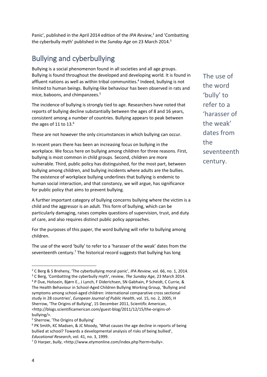Panic', published in the April 2014 edition of the *IPA Review*,<sup>2</sup> and 'Combatting the cyberbully myth' published in the *Sunday Age* on 23 March 2014.<sup>3</sup>

# <span id="page-4-0"></span>Bullying and cyberbullying

Bullying is a social phenomenon found in all societies and all age groups. Bullying is found throughout the developed and developing world. It is found in affluent nations as well as within tribal communities.<sup>4</sup> Indeed, bullying is not limited to human beings. Bullying-like behaviour has been observed in rats and mice, baboons, and chimpanzees.<sup>5</sup>

The incidence of bullying is strongly tied to age. Researchers have noted that reports of bullying decline substantially between the ages of 8 and 16 years, consistent among a number of countries. Bullying appears to peak between the ages of 11 to  $13<sup>6</sup>$ 

These are not however the only circumstances in which bullying can occur.

In recent years there has been an increasing focus on bullying in the workplace. We focus here on bullying among children for three reasons. First, bullying is most common in child groups. Second, children are more vulnerable. Third, public policy has distinguished, for the most part, between bullying among children, and bullying incidents where adults are the bullies. The existence of workplace bullying underlines that bullying is endemic to human social interaction, and that constancy, we will argue, has significance for public policy that aims to prevent bullying.

A further important category of bullying concerns bullying where the victim is a child and the aggressor is an adult. This form of bullying, which can be particularly damaging, raises complex questions of supervision, trust, and duty of care, and also requires distinct public policy approaches.

For the purposes of this paper, the word bullying will refer to bullying among children.

The use of the word 'bully' to refer to a 'harasser of the weak' dates from the seventeenth century.<sup>7</sup> The historical record suggests that bullying has long

<http://blogs.scientificamerican.com/guest-blog/2011/12/15/the-origins-ofbullying/>.

The use of the word 'bully' to refer to a 'harasser of the weak' dates from the seventeenth century.

l

<sup>2</sup> C Berg & S Breheny, 'The cyberbullying moral panic', *IPA Review*, vol. 66, no. 1, 2014. <sup>3</sup> C Berg, 'Combatting the cyberbully myth', review, *The Sunday Age,* 23 March 2014. <sup>4</sup> P Due, Holssein, Bjørn E., J Lynch, F Diderichsen, SN Gabhain, P Scheidt, C Currie, & The Health Behaviour in School-Aged Children Bullying Working Group, 'Bullying and symptoms among school-aged children: international comparative cross sectional study in 28 countries', *European Journal of Public Health*, vol. 15, no. 2, 2005; H Sherrow, 'The Origins of Bullying', 15 December 2011, Scientific American,

<sup>5</sup> Sherrow, 'The Origins of Bullying'

<sup>6</sup> PK Smith, KC Madsen, & JC Moody, 'What causes the age decline in reports of being bullied at school? Towards a developmental analysis of risks of being bullied', *Educational Research*, vol. 41, no. 3, 1999.

<sup>7</sup> D Harper, *bully*, <http://www.etymonline.com/index.php?term=bully>.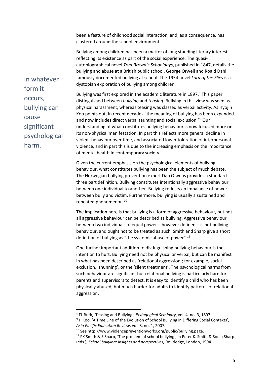been a feature of childhood social interaction, and, as a consequence, has clustered around the school environment.

Bullying among children has been a matter of long standing literary interest, reflecting its existence as part of the social experience. The quasiautobiographical novel *Tom Brown's Schooldays*, published in 1847, details the bullying and abuse at a British public school. George Orwell and Roald Dahl famously documented bullying at school. The 1954 novel *Lord of the Flies* is a dystopian exploration of bullying among children.

Bullying was first explored in the academic literature in 1897.<sup>8</sup> This paper distinguished between *bullying* and *teasing*. Bullying in this view was seen as physical harassment, whereas teasing was classed as verbal activity. As Hyojin Koo points out, in recent decades "the meaning of bullying has been expanded and now includes direct verbal taunting and social exclusion."<sup>9</sup> Our understanding of what constitutes bullying behaviour is now focused more on its non-physical manifestation. In part this reflects more general decline in violent behaviour over time, and associated lower toleration of interpersonal violence, and in part this is due to the increasing emphasis on the importance of mental health in contemporary society.

Given the current emphasis on the psychological elements of bullying behaviour, what constitutes bullying has been the subject of much debate. The Norwegian bullying prevention expert Dan Olweus provides a standard three part definition. Bullying constitutes intentionally aggressive behaviour between one individual to another. Bullying reflects an imbalance of power between bully and victim. Furthermore, bullying is usually a sustained and repeated phenomenon.<sup>10</sup>

The implication here is that bullying is a form of aggressive behaviour, but not all aggressive behaviour can be described as bullying. Aggressive behaviour between two individuals of equal power – however defined – is not bullying behaviour, and ought not to be treated as such. Smith and Sharp give a short definition of bullying as "the systemic abuse of power".<sup>11</sup>

One further important addition to distinguishing bullying behaviour is the intention to hurt. Bullying need not be physical or verbal, but can be manifest in what has been described as 'relational aggression'; for example, social exclusion, 'shunning', or the 'silent treatment'. The psychological harms from such behaviour are significant but relational bullying is particularly hard for parents and supervisors to detect. It is easy to identify a child who has been physically abused, but much harder for adults to identify patterns of relational aggression.

**.** 

In whatever form it occurs, bullying can cause significant psychological harm.

<sup>8</sup> FL Burk, 'Teasing and Bullying', *Pedagogical Seminary*, vol. 4, no. 3, 1897.

<sup>&</sup>lt;sup>9</sup> H Koo, 'A Time Line of the Evolution of School Bullying in Differing Social Contexts', *Asia Pacific Education Review*, vol. 8, no. 1, 2007.

<sup>10</sup> See http://www.violencepreventionworks.org/public/bullying.page.

<sup>&</sup>lt;sup>11</sup> PK Smith & S Sharp, 'The problem of school bullying', in Peter K. Smith & Sonia Sharp (eds.), *School bullying: insights and perspectives,* Routledge, London, 1994.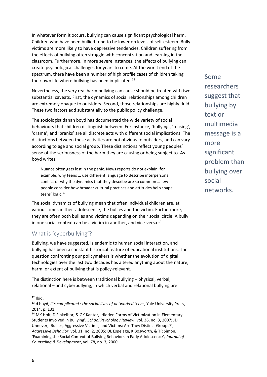In whatever form it occurs, bullying can cause significant psychological harm. Children who have been bullied tend to be lower on levels of self-esteem. Bully victims are more likely to have depressive tendencies. Children suffering from the effects of bullying often struggle with concentration and learning in the classroom. Furthermore, in more severe instances, the effects of bullying can create psychological challenges for years to come. At the worst end of the spectrum, there have been a number of high profile cases of children taking their own life where bullying has been implicated.<sup>12</sup>

Nevertheless, the very real harm bullying can cause should be treated with two substantial caveats. First, the dynamics of social relationships among children are extremely opaque to outsiders. Second, those relationships are highly fluid. These two factors add substantially to the public policy challenge.

The sociologist danah boyd has documented the wide variety of social behaviours that children distinguish between. For instance, 'bullying', 'teasing', 'drama', and 'pranks' are all discrete acts with different social implications. The distinctions between these activities are not obvious to outsiders, and can vary according to age and social group. These distinctions reflect young peoples' sense of the seriousness of the harm they are causing or being subject to. As boyd writes,

Nuance often gets lost in the panic. News reports do not explain, for example, why teens … use different language to describe interpersonal conflict or why the dynamics that they describe are so common … few people consider how broader cultural practices and attitudes help shape teens' logic.<sup>13</sup>

The social dynamics of bullying mean that often individual children are, at various times in their adolescence, the bullies and the victim. Furthermore, they are often both bullies and victims depending on their social circle. A bully in one social context can be a victim in another, and vice-versa.<sup>14</sup>

#### <span id="page-6-0"></span>What is 'cyberbullying'?

Bullying, we have suggested, is endemic to human social interaction, and bullying has been a constant historical feature of educational institutions. The question confronting our policymakers is whether the evolution of digital technologies over the last two decades has altered anything about the nature, harm, or extent of bullying that is policy-relevant.

The distinction here is between traditional bullying – physical, verbal, relational – and cyberbullying, in which verbal and relational bullying are

 $\overline{\phantom{a}}$ 

Some researchers suggest that bullying by text or multimedia message is a more significant problem than bullying over social networks.

 $12$  Ibid.

<sup>13</sup> d boyd, *It's complicated : the social lives of networked teens*, Yale University Press, 2014. p. 131.

<sup>&</sup>lt;sup>14</sup> MK Holt, D Finkelhor, & GK Kantor, 'Hidden Forms of Victimization in Elementary Students Involved in Bullying', *School Psychology Review*, vol. 36, no. 3, 2007; JD Unnever, 'Bullies, Aggressive Victims, and Victims: Are They Distinct Groups?', *Aggressive Behavior*, vol. 31, no. 2, 2005; DL Espelage, K Bosworth, & TR Simon, 'Examining the Social Context of Bullying Behaviors in Early Adolescence', *Journal of Counseling & Development*, vol. 78, no. 3, 2000.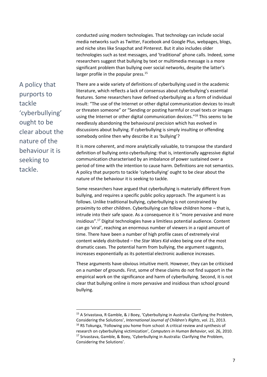conducted using modern technologies. That technology can include social media networks such as Twitter, Facebook and Google Plus, webpages, blogs, and niche sites like Snapchat and Pinterest. But it also includes older technologies such as text messages, and 'traditional' phone calls. Indeed, some researchers suggest that bullying by text or multimedia message is a more significant problem than bullying over social networks, despite the latter's larger profile in the popular press.<sup>15</sup>

A policy that purports to tackle 'cyberbullying' ought to be clear about the nature of the behaviour it is seeking to tackle.

**.** 

There are a wide variety of definitions of cyberbullying used in the academic literature, which reflects a lack of consensus about cyberbullying's essential features. Some researchers have defined cyberbullying as a form of individual insult: "The use of the Internet or other digital communication devices to insult or threaten someone" or "Sending or posting harmful or cruel texts or images using the Internet or other digital communication devices.<sup>"16</sup> This seems to be needlessly abandoning the behavioural precision which has evolved in discussions about bullying. If cyberbullying is simply insulting or offending somebody online then why describe it as 'bullying'?

It is more coherent, and more analytically valuable, to transpose the standard definition of bullying onto cyberbullying: that is, intentionally aggressive digital communication characterised by an imbalance of power sustained over a period of time with the intention to cause harm. Definitions are not semantics. A policy that purports to tackle 'cyberbullying' ought to be clear about the nature of the behaviour it is seeking to tackle.

Some researchers have argued that cyberbullying is materially different from bullying, and requires a specific public policy approach. The argument is as follows. Unlike traditional bullying, cyberbullying is not constrained by proximity to other children. Cyberbullying can follow children home – that is, intrude into their safe space. As a consequence it is "more pervasive and more insidious".<sup>17</sup> Digital technologies have a limitless potential audience. Content can go 'viral', reaching an enormous number of viewers in a rapid amount of time. There have been a number of high profile cases of extremely viral content widely distributed – the *Star Wars Kid* video being one of the most dramatic cases. The potential harm from bullying, the argument suggests, increases exponentially as its potential electronic audience increases.

These arguments have obvious intuitive merit. However, they can be criticised on a number of grounds. First, some of these claims do not find support in the empirical work on the significance and harm of cyberbullying. Second, it is not clear that bullying online *is* more pervasive and insidious than school ground bullying.

<sup>15</sup> A Srivastava, R Gamble, & J Boey, 'Cyberbullying in Australia: Clarifying the Problem, Considering the Solutions', *International Journal of Children's Rights*, vol. 21, 2013. <sup>16</sup> RS Tokunga, 'Following you home from school: A critical review and synthesis of research on cyberbullying victimization', *Computers in Human Behavior*, vol. 26, 2010. <sup>17</sup> Srivastava, Gamble, & Boey, 'Cyberbullying in Australia: Clarifying the Problem, Considering the Solutions'.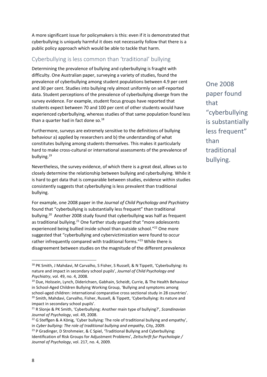A more significant issue for policymakers is this: even if it is demonstrated that cyberbullying is uniquely harmful it does not necessarily follow that there is a public policy approach which would be able to tackle that harm.

#### <span id="page-8-0"></span>Cyberbullying is less common than 'traditional' bullying

Determining the prevalence of bullying and cyberbullying is fraught with difficulty. One Australian paper, surveying a variety of studies, found the prevalence of cyberbullying among student populations between 4.9 per cent and 30 per cent. Studies into bullying rely almost uniformly on self-reported data. Student perceptions of the prevalence of cyberbullying diverge from the survey evidence. For example, student focus groups have reported that students expect between 70 and 100 per cent of other students would have experienced cyberbullying, whereas studies of that same population found less than a quarter had in fact done so. $^{18}$ 

Furthermore, surveys are extremely sensitive to the definitions of bullying behaviour a) applied by researchers and b) the understanding of what constitutes bullying among students themselves. This makes it particularly hard to make cross-cultural or international assessments of the prevalence of bullving.<sup>19</sup>

Nevertheless, the survey evidence, of which there is a great deal, allows us to closely determine the relationship between bullying and cyberbullying. While it is hard to get data that is comparable between studies, evidence within studies consistently suggests that cyberbullying is less prevalent than traditional bullying.

For example, one 2008 paper in the *Journal of Child Psychology and Psychiatry* found that "cyberbullying is substantially less frequent" than traditional bullying.<sup>20</sup> Another 2008 study found that cyberbullying was half as frequent as traditional bullying.<sup>21</sup> One further study argued that "more adolescents experienced being bullied inside school than outside school."<sup>22</sup> One more suggested that "cyberbullying and cybervictimization were found to occur rather infrequently compared with traditional forms."<sup>23</sup> While there is disagreement between studies on the magnitude of the different prevalence

One 2008 paper found that "cyberbullying is substantially less frequent" than traditional bullying.

<sup>&</sup>lt;sup>18</sup> PK Smith, J Mahdavi, M Carvalho, S Fisher, S Russell, & N Tippett, 'Cyberbullying: its nature and impact in secondary school pupils', *Journal of Child Psychology and Psychiatry*, vol. 49, no. 4, 2008.

<sup>&</sup>lt;sup>19</sup> Due, Holssein, Lynch, Diderichsen, Gabhain, Scheidt, Currie, & The Health Behaviour in School-Aged Children Bullying Working Group, 'Bullying and symptoms among school-aged children: international comparative cross sectional study in 28 countries'.

<sup>&</sup>lt;sup>20</sup> Smith, Mahdavi, Carvalho, Fisher, Russell, & Tippett, 'Cyberbullying: its nature and impact in secondary school pupils'.

<sup>21</sup> R Slonje & PK Smith, 'Cyberbullying: Another main type of bullying?', *Scandinavian Journal of Psychology*, vol. 49, 2008.

 $22$  G Steffgen & A König, 'Cyber bullying: The role of traditional bullying and empathy', in *Cyber bullying: The role of traditional bullying and empathy*, City, 2009.

 $23$  P Gradinger, D Strohmeier, & C Spiel, 'Traditional Bullying and Cyberbullying: Identification of Risk Groups for Adjustment Problems', *Zeitschrift fur Psychologie / Journal of Psychology*, vol. 217, no. 4, 2009.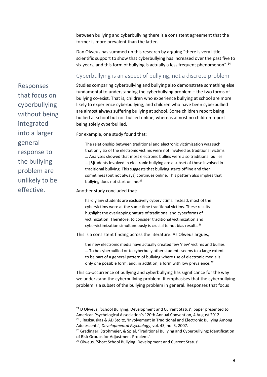between bullying and cyberbullying there is a consistent agreement that the former is more prevalent than the latter.

Dan Olweus has summed up this research by arguing "there is very little scientific support to show that cyberbullying has increased over the past five to six years, and this form of bullying is actually a less frequent phenomenon".<sup>24</sup>

#### <span id="page-9-0"></span>Cyberbullying is an aspect of bullying, not a discrete problem

Responses that focus on cyberbullying without being integrated into a larger general response to the bullying problem are unlikely to be effective.

Studies comparing cyberbullying and bullying also demonstrate something else fundamental to understanding the cyberbullying problem – the two forms of bullying co-exist. That is, children who experience bullying at school are more likely to experience cyberbullying, and children who have been cyberbullied are almost always suffering bullying at school. Some children report being bullied at school but not bullied online, whereas almost no children report being solely cyberbullied.

For example, one study found that:

The relationship between traditional and electronic victimization was such that only six of the electronic victims were not involved as traditional victims … Analyses showed that most electronic bullies were also traditional bullies … [S]tudents involved in electronic bullying are a subset of those involved in traditional bullying. This suggests that bullying starts offline and then sometimes (but not always) continues online. This pattern also implies that bullying does not start online.<sup>25</sup>

Another study concluded that:

hardly any students are exclusively cybervictims. Instead, most of the cybervictims were at the same time traditional victims. These results highlight the overlapping nature of traditional and cyberforms of victimization. Therefore, to consider traditional victimization and cybervictimization simultaneously is crucial to not bias results.<sup>26</sup>

This is a consistent finding across the literature. As Olweus argues,

the new electronic media have actually created few 'new' victims and bullies … To be cyberbullied or to cyberbully other students seems to a large extent to be part of a general pattern of bullying where use of electronic media is only one possible form, and, in addition, a form with low prevalence.<sup>27</sup>

This co-occurrence of bullying and cyberbullying has significance for the way we understand the cyberbullying problem. It emphasises that the cyberbullying problem is a subset of the bullying problem in general. Responses that focus

 $\overline{a}$ 

<sup>&</sup>lt;sup>24</sup> D Olweus, 'School Bullying: Development and Current Status', paper presented to American Psychological Association's 120th Annual Convention, 4 August 2012. <sup>25</sup> J Raskauskas & AD Stoltz, 'Involvement in Traditional and Electronic Bullying Among

Adolescents', *Developmental Psychology*, vol. 43, no. 3, 2007.

<sup>&</sup>lt;sup>26</sup> Gradinger, Strohmeier, & Spiel, 'Traditional Bullying and Cyberbullying: Identification of Risk Groups for Adjustment Problems'.

<sup>27</sup> Olweus, 'Short School Bullying: Development and Current Status'.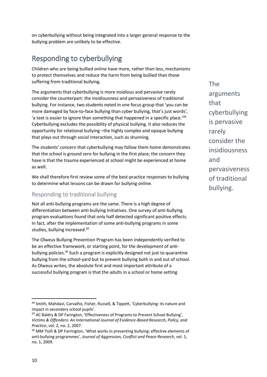on cyberbullying without being integrated into a larger general response to the bullying problem are unlikely to be effective.

### <span id="page-10-0"></span>Responding to cyberbullying

Children who are being bullied online have more, rather than less, mechanisms to protect themselves and reduce the harm from being bullied than those suffering from traditional bullying.

The arguments that cyberbullying is more insidious and pervasive rarely consider the counterpart: the insidiousness and pervasiveness of traditional bullying. For instance, two students noted in one focus group that 'you can be more damaged by face-to-face bullying than cyber bullying, that's just words', 'a text is easier to ignore than something that happened in a specific place.<sup>'28</sup> Cyberbullying excludes the possibility of physical bullying. It also reduces the opportunity for relational bullying –the highly complex and opaque bullying that plays out through social interaction, such as shunning.

The students' concern that cyberbullying may follow them home demonstrates that the school is ground zero for bullying in the first place; the concern they have is that the trauma experienced at school might be experienced at home as well.

We shall therefore first review some of the best-practice responses to bullying to determine what lessons can be drawn for bullying online.

#### <span id="page-10-1"></span>Responding to traditional bullying

Not all anti-bullying programs are the same. There is a high degree of differentiation between anti-bullying initiatives. One survey of anti-bullying program evaluations found that only half detected significant positive effects. In fact, after the implementation of some anti-bullying programs in some studies, bullying increased.<sup>29</sup>

The Olweus Bullying Prevention Program has been independently verified to be an effective framework, or starting point, for the development of antibullying policies.<sup>30</sup> Such a program is explicitly designed not just to quarantine bullying from the school-yard but to prevent bullying both in and out of school. As Olweus writes, the absolute first and most important attribute of a successful bullying program is that the adults in a school or home setting

The arguments that cyberbullying is pervasive rarely consider the insidiousness and pervasiveness of traditional bullying.

<sup>&</sup>lt;sup>28</sup> Smith, Mahdavi, Carvalho, Fisher, Russell, & Tippett, 'Cyberbullying: its nature and impact in secondary school pupils'.

<sup>&</sup>lt;sup>29</sup> AC Baldry & DP Farington, 'Effectiveness of Programs to Prevent School Bullying', *Victims & Offenders: An International Journal of Evidence-Based Research, Policy, and Practice*, vol. 2, no. 2, 2007.

<sup>&</sup>lt;sup>30</sup> MM Ttofi & DP Farrington, 'What works in preventing bullying: effective elements of anti-bullying programmes', *Journal of Aggression, Conflict and Peace Research*, vol. 1, no. 1, 2009.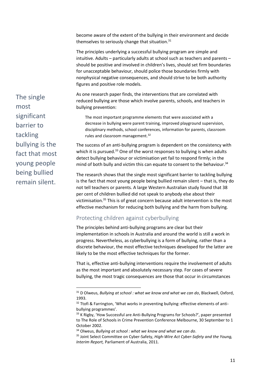become aware of the extent of the bullying in their environment and decide themselves to seriously change that situation.<sup>31</sup>

The principles underlying a successful bullying program are simple and intuitive. Adults – particularly adults at school such as teachers and parents – should be positive and involved in children's lives, should set firm boundaries for unacceptable behaviour, should police those boundaries firmly with nonphysical negative consequences, and should strive to be both authority figures and positive role models.

As one research paper finds, the interventions that are correlated with reduced bullying are those which involve parents, schools, and teachers in bullying prevention:

The most important programme elements that were associated with a decrease in bullying were parent training, improved playground supervision, disciplinary methods, school conferences, information for parents, classroom rules and classroom management.<sup>32</sup>

The success of an anti-bullying program is dependent on the consistency with which it is pursued.<sup>33</sup> One of the worst responses to bullying is when adults detect bullying behaviour or victimisation yet fail to respond firmly; in the mind of both bully and victim this can equate to consent to the behaviour.<sup>34</sup>

The research shows that the single most significant barrier to tackling bullying is the fact that most young people being bullied remain silent – that is, they do not tell teachers or parents. A large Western Australian study found that 38 per cent of children bullied did not speak to anybody else about their victimisation.<sup>35</sup> This is of great concern because adult intervention is the most effective mechanism for reducing both bullying and the harm from bullying.

#### <span id="page-11-0"></span>Protecting children against cyberbullying

**.** 

The principles behind anti-bullying programs are clear but their implementation in schools in Australia and around the world is still a work in progress. Nevertheless, as cyberbullying is a form of bullying, rather than a discrete behaviour, the most effective techniques developed for the latter are likely to be the most effective techniques for the former.

That is, effective anti-bullying interventions require the involvement of adults as the most important and absolutely necessary step. For cases of severe bullying, the most tragic consequences are those that occur in circumstances

The single most significant barrier to tackling bullying is the fact that most young people being bullied remain silent.

<sup>31</sup> D Olweus, *Bullying at school : what we know and what we can do*, Blackwell, Oxford, 1993.

<sup>32</sup> Ttofi & Farrington, 'What works in preventing bullying: effective elements of antibullying programmes'.

<sup>&</sup>lt;sup>33</sup> K Rigby, 'How Successful are Anti-Bullying Programs for Schools?', paper presented to The Role of Schools in Crime Prevention Conference Melbourne, 30 September to 1 October 2002.

<sup>34</sup> Olweus, *Bullying at school : what we know and what we can do*.

<sup>35</sup> Joint Select Committee on Cyber-Safety, *High-Wire Act Cyber-Safety and the Young, Interim Report,* Parliament of Australia, 2011.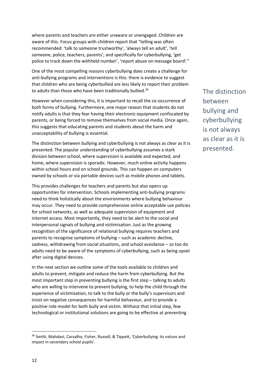where parents and teachers are either unaware or unengaged. Children are aware of this. Focus groups with children report that "telling was often recommended: 'talk to someone trustworthy', 'always tell an adult', 'tell someone, police, teachers, parents'; and specifically for cyberbullying, 'get police to track down the withheld number', 'report abuse on message board'."

One of the most compelling reasons cyberbullying does create a challenge for anti-bullying programs and interventions is this: there is evidence to suggest that children who are being cyberbullied are less likely to report their problem to adults than those who have been traditionally bullied.<sup>36</sup>

However when considering this, it is important to recall the co-occurrence of both forms of bullying. Furthermore, one major reason that students do not notify adults is that they fear having their electronic equipment confiscated by parents, or being forced to remove themselves from social media. Once again, this suggests that educating parents and students about the harm and unacceptability of bullying is essential.

The distinction between bullying and cyberbullying is not always as clear as it is presented. The popular understanding of cyberbullying assumes a stark division between school, where supervision is available and expected, and home, where supervision is sporadic. However, much online activity happens within school hours and on school grounds. This can happen on computers owned by schools or via portable devices such as mobile phones and tablets.

This provides challenges for teachers and parents but also opens up opportunities for intervention. Schools implementing anti-bullying programs need to think holistically about the environments where bullying behaviour may occur. They need to provide comprehensive online acceptable use policies for school networks, as well as adequate supervision of equipment and internet access. Most importantly, they need to be alert to the social and interpersonal signals of bullying and victimisation. Just as the growing recognition of the significance of relational bullying requires teachers and parents to recognise symptoms of bullying – such as academic decline, sadness, withdrawing from social situations, and school avoidance – so too do adults need to be aware of the symptoms of cyberbullying, such as being upset after using digital devices.

In the next section we outline some of the tools available to children and adults to prevent, mitigate and reduce the harm from cyberbullying. But the most important step in preventing bullying is the first step – talking to adults who are willing to intervene to prevent bullying, to help the child through the experience of victimisation, to talk to the bully or the bully's supervisors and insist on negative consequences for harmful behaviour, and to provide a positive role model for both bully and victim. Without that initial step, few technological or institutional solutions are going to be effective at preventing

The distinction between bullying and cyberbullying is not always as clear as it is presented.

<sup>&</sup>lt;sup>36</sup> Smith, Mahdavi, Carvalho, Fisher, Russell, & Tippett, 'Cyberbullying: its nature and impact in secondary school pupils'.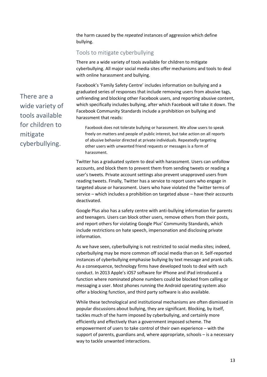the harm caused by the *repeated* instances of aggression which define bullying.

#### <span id="page-13-0"></span>Tools to mitigate cyberbullying

There are a wide variety of tools available for children to mitigate cyberbullying. All major social media sites offer mechanisms and tools to deal with online harassment and bullying.

Facebook's 'Family Safety Centre' includes information on bullying and a graduated series of responses that include removing users from abusive tags, unfriending and blocking other Facebook users, and reporting abusive content, which specifically includes bullying, after which Facebook will take it down. The Facebook Community Standards include a prohibition on bullying and harassment that reads:

Facebook does not tolerate bullying or harassment. We allow users to speak freely on matters and people of public interest, but take action on all reports of abusive behavior directed at private individuals. Repeatedly targeting other users with unwanted friend requests or messages is a form of harassment.

Twitter has a graduated system to deal with harassment. Users can unfollow accounts, and block them to prevent them from sending tweets or reading a user's tweets. Private account settings also prevent unapproved users from reading tweets. Finally, Twitter has a service to report users who engage in targeted abuse or harassment. Users who have violated the Twitter terms of service – which includes a prohibition on targeted abuse – have their accounts deactivated.

Google Plus also has a safety centre with anti-bullying information for parents and teenagers. Users can block other users, remove others from their posts, and report others for violating Google Plus' Community Standards, which include restrictions on hate speech, impersonation and disclosing private information.

As we have seen, cyberbullying is not restricted to social media sites; indeed, cyberbullying may be more common off social media than on it. Self-reported instances of cyberbullying emphasise bullying by text message and prank calls. As a consequence, technology firms have developed tools to deal with such conduct. In 2013 Apple's iOS7 software for iPhone and iPad introduced a function where nominated phone numbers could be blocked from calling or messaging a user. Most phones running the Android operating system also offer a blocking function, and third party software is also available.

While these technological and institutional mechanisms are often dismissed in popular discussions about bullying, they are significant. Blocking, by itself, tackles much of the harm imposed by cyberbullying, and certainly more efficiently and effectively than a government imposed scheme. The empowerment of users to take control of their own experience – with the support of parents, guardians and, where appropriate, schools – is a necessary way to tackle unwanted interactions.

There are a wide variety of tools available for children to mitigate cyberbullying.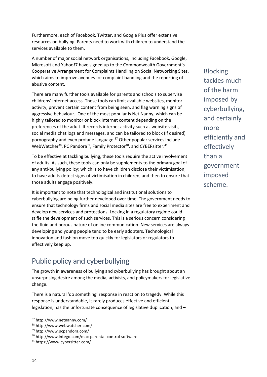Furthermore, each of Facebook, Twitter, and Google Plus offer extensive resources on bullying. Parents need to work with children to understand the services available to them.

A number of major social network organisations, including Facebook, Google, Microsoft and Yahoo!7 have signed up to the Commonwealth Government's Cooperative Arrangement for Complaints Handling on Social Networking Sites, which aims to improve avenues for complaint handling and the reporting of abusive content.

There are many further tools available for parents and schools to supervise childrens' internet access. These tools can limit available websites, monitor activity, prevent certain content from being seen, and flag warning signs of aggressive behaviour. One of the most popular is Net Nanny, which can be highly tailored to monitor or block internet content depending on the preferences of the adult. It records internet activity such as website visits, social media chat logs and messages, and can be tailored to block (if desired) pornography and even profane language.<sup>37</sup> Other popular services include WebWatcher<sup>38</sup>, PC Pandora<sup>39</sup>, Family Protector<sup>40</sup>, and CYBERsitter.<sup>41</sup>

To be effective at tackling bullying, these tools require the active involvement of adults. As such, these tools can only be supplements to the primary goal of any anti-bullying policy; which is to have children disclose their victimisation, to have adults detect signs of victimisation in children, and then to ensure that those adults engage positively.

It is important to note that technological and institutional solutions to cyberbullying are being further developed over time. The government needs to ensure that technology firms and social media sites are free to experiment and develop new services and protections. Locking in a regulatory regime could stifle the development of such services. This is a serious concern considering the fluid and porous nature of online communication. New services are always developing and young people tend to be early adopters. Technological innovation and fashion move too quickly for legislators or regulators to effectively keep up.

# <span id="page-14-0"></span>Public policy and cyberbullying

The growth in awareness of bullying and cyberbullying has brought about an unsurprising desire among the media, activists, and policymakers for legislative change.

There is a natural 'do something' response in reaction to tragedy. While this response is understandable, it rarely produces effective and efficient legislation, has the unfortunate consequence of legislative duplication, and –

Blocking tackles much of the harm imposed by cyberbullying, and certainly more efficiently and effectively than a government imposed scheme.

l

<sup>37</sup> http://www.netnanny.com/

<sup>38</sup> http://www.webwatcher.com/

<sup>39</sup> http://www.pcpandora.com/

<sup>40</sup> http://www.intego.com/mac-parental-control-software

<sup>41</sup> https://www.cybersitter.com/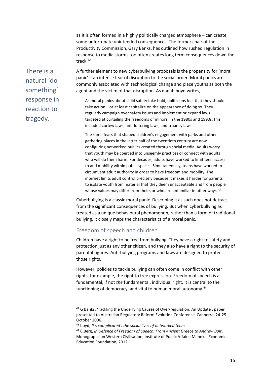as it is often formed in a highly politically charged atmosphere – can create some unfortunate unintended consequences. The former chair of the Productivity Commission, Gary Banks, has outlined how rushed regulation in response to media storms too often creates long term consequences down the track.<sup>42</sup>

There is a natural 'do something' response in reaction to tragedy.

A further element to new cyberbullying proposals is the propensity for 'moral panic' – an intense fear of disruption to the social order. Moral panics are commonly associated with technological change and place youths as both the agent and the victim of that disruption. As danah boyd writes,

As moral panics about child safety take hold, politicians feel that they should take action—or at least capitalize on the appearance of doing so. They regularly campaign over safety issues and implement or expand laws targeted at curtailing the freedoms of minors. In the 1980s and 1990s, this included curfew laws, anti-loitering laws, and truancy laws …

The same fears that shaped children's engagement with parks and other gathering places in the latter half of the twentieth century are now configuring networked publics created through social media. Adults worry that youth may be coerced into unseemly practices or connect with adults who will do them harm. For decades, adults have worked to limit teen access to and mobility within public spaces. Simultaneously, teens have worked to circumvent adult authority in order to have freedom and mobility. The internet limits adult control precisely because it makes it harder for parents to isolate youth from material that they deem unacceptable and from people whose values may differ from theirs or who are unfamiliar in other ways.<sup>43</sup>

Cyberbullying is a classic moral panic. Describing it as such does not detract from the significant consequences of bullying. But when cyberbullying as treated as a unique behavioural phenomenon, rather than a form of traditional bullying, it closely maps the characteristics of a moral panic.

#### <span id="page-15-0"></span>Freedom of speech and children

 $\overline{a}$ 

Children have a right to be free from bullying. They have a right to safety and protection just as any other citizen, and they also have a right to the security of parental figures. Anti-bullying programs and laws are designed to protect those rights.

However, policies to tackle bullying can often come in conflict with other rights, for example, the right to free expression. Freedom of speech is a fundamental, if not *the* fundamental, individual right. It is central to the functioning of democracy, and vital to human moral autonomy.<sup>44</sup>

<sup>&</sup>lt;sup>42</sup> G Banks, 'Tackling the Underlying Causes of Over-regulation: An Update', paper presented to Australian Regulatory Reform Evolution Conference, Canberra, 24-25 October 2006.

<sup>43</sup> boyd, *It's complicated : the social lives of networked teens*.

<sup>44</sup> C Berg, *In Defence of Freedom of Speech: From Ancient Greece to Andrew Bolt*, Monographs on Western Civilisation, Institute of Public Affairs; Mannkal Economic Education Foundation, 2012.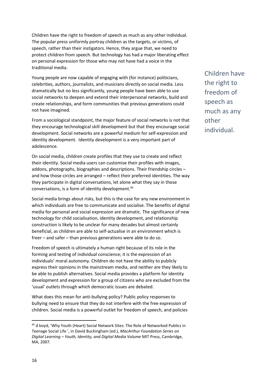Children have the right to freedom of speech as much as any other individual. The popular press uniformly portray children as the targets, or victims, of speech, rather than their instigators. Hence, they argue that, we need to protect children from speech. But technology has had a major liberating effect on personal expression for those who may not have had a voice in the traditional media.

Young people are now capable of engaging with (for instance) politicians, celebrities, authors, journalists, and musicians directly on social media. Less dramatically but no less significantly, young people have been able to use social networks to deepen and extend their interpersonal networks, build and create relationships, and form communities that previous generations could not have imagined.

From a sociological standpoint, the major feature of social networks is not that they encourage technological skill development but that they encourage social development. Social networks are a powerful medium for self-expression and identity development. Identity development is a very important part of adolescence.

On social media, children create profiles that they use to create and reflect their identity. Social media users can customise their profiles with images, addons, photographs, biographies and descriptions. Their friendship circles – and how those circles are arranged – reflect their preferred identities. The way they participate in digital conversations, let alone what they say in those conversations, is a form of identity development.<sup>45</sup>

Social media brings about risks, but this is the case for any new environment in which individuals are free to communicate and socialise. The benefits of digital media for personal and social expression are dramatic. The significance of new technology for child socialisation, identity development, and relationship construction is likely to be unclear for many decades but almost certainly beneficial, as children are able to self-actualise in an environment which is freer – and safer – than previous generations were able to do so.

Freedom of speech is ultimately a human right because of its role in the forming and testing of individual conscience; it is the expression of an individuals' moral autonomy. Children do not have the ability to publicly express their opinions in the mainstream media, and neither are they likely to be able to publish alternatives. Social media provides a platform for identity development and expression for a group of citizens who are excluded from the 'usual' outlets through which democratic issues are debated.

What does this mean for anti-bullying policy? Public policy responses to bullying need to ensure that they do not interfere with the free expression of children. Social media is a powerful outlet for freedom of speech, and policies

Children have the right to freedom of speech as much as any other individual.

<sup>&</sup>lt;sup>45</sup> d boyd, 'Why Youth (Heart) Social Network Sites: The Role of Networked Publics in Teenage Social Life ', in David Buckingham (ed.), *MacArthur Foundation Series on Digital Learning – Youth, Identity, and Digital Media Volume* MIT Press, Cambridge, MA, 2007.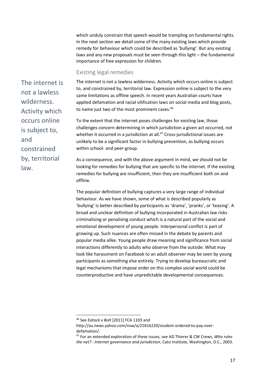which unduly constrain that speech would be trampling on fundamental rights. In the next section we detail some of the many existing laws which provide remedy for behaviour which could be described as 'bullying'. But any existing laws and any new proposals must be seen through this light – the fundamental importance of free expression for children.

#### <span id="page-17-0"></span>Existing legal remedies

The internet is not a lawless wilderness. Activity which occurs online is subject to, and constrained by, territorial law. Expression online is subject to the very same limitations as offline speech. In recent years Australian courts have applied defamation and racial vilification laws on social media and blog posts, to name just two of the most prominent cases.<sup>46</sup>

To the extent that the internet poses challenges for existing law, those challenges concern determining in which jurisdiction a given act occurred, not whether it occurred in a jurisdiction at all.<sup>47</sup> Cross-jurisdictional issues are unlikely to be a significant factor in bullying prevention, as bullying occurs within school- and peer-group.

As a consequence, and with the above argument in mind, we should not be looking for remedies for bullying that are specific to the internet. If the existing remedies for bullying are insufficient, then they are insufficient both on and offline.

The popular definition of bullying captures a very large range of individual behaviour. As we have shown, some of what is described popularly as 'bullying' is better described by participants as 'drama', 'pranks', or 'teasing'. A broad and unclear definition of bullying incorporated in Australian law risks criminalising or penalising conduct which is a natural part of the social and emotional development of young people. Interpersonal conflict is part of growing up. Such nuances are often missed in the debate by parents and popular media alike. Young people draw meaning and significance from social interactions differently to adults who observe from the outside. What may look like harassment on Facebook to an adult observer may be seen by young participants as something else entirely. Trying to develop bureaucratic and legal mechanisms that impose order on this complex social world could be counterproductive and have unpredictable developmental consequences.

 $\overline{a}$ 

The internet is not a lawless wilderness. Activity which occurs online is subject to, and constrained by, territorial law.

<sup>46</sup> See *Eatock v Bolt* [2011] FCA 1103 and

http://au.news.yahoo.com/nsw/a/21816220/student-ordered-to-pay-overdefamation/.

<sup>47</sup> For an extended exploration of these issues, see AD Thierer & CW Crews, *Who rules the net? : Internet governance and jurisdiction*, Cato Institute, Washington, D.C., 2003.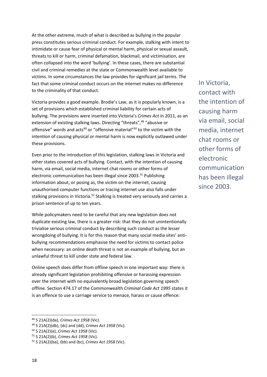At the other extreme, much of what is described as bullying in the popular press constitutes serious criminal conduct. For example, stalking with intent to intimidate or cause fear of physical or mental harm, physical or sexual assault, threats to kill or harm, criminal defamation, blackmail, and victimisation, are often collapsed into the word 'bullying'. In these cases, there are substantial civil and criminal remedies at the state or Commonwealth level available to victims. In some circumstances the law provides for significant jail terms. The fact that some criminal conduct occurs on the internet makes no difference to the criminality of that conduct.

Victoria provides a good example. Brodie's Law, as it is popularly known, is a set of provisions which established criminal liability for certain acts of bullying. The provisions were inserted into Victoria's *Crimes Act* in 2011, as an extension of existing stalking laws. Directing "threats",<sup>48</sup> "abusive or offensive" words and acts<sup>49</sup> or "offensive material"<sup>50</sup> to the victim with the intention of causing physical or mental harm is now explicitly outlawed under these provisions.

Even prior to the introduction of this legislation, stalking laws in Victoria and other states covered acts of bullying. Contact, with the intention of causing harm, via email, social media, internet chat rooms or other forms of electronic communication has been illegal since  $2003$ <sup>51</sup> Publishing information about, or posing as, the victim on the internet, causing unauthorised computer functions or tracing internet use also falls under stalking provisions in Victoria.<sup>52</sup> Stalking is treated very seriously and carries a prison sentence of up to ten years.

While policymakers need to be careful that any new legislation does not duplicate existing law, there is a greater risk: that they do not unintentionally trivialise serious criminal conduct by describing such conduct as the lesser wrongdoing of bullying. It is for this reason that many social media sites' antibullying recommendations emphasise the need for victims to contact police when necessary: an online death threat is not an example of bullying, but an unlawful threat to kill under state and federal law.

Online speech does differ from offline speech in one important way: there is already significant legislation prohibiting offensive or harassing expression over the internet with no equivalently broad legislation governing speech offline. Section 474.17 of the Commonwealth *Criminal Code Act 1995* states it is an offence to use a carriage service to menace, harass or cause offence:

In Victoria, contact with the intention of causing harm via email, social media, internet chat rooms or other forms of electronic communication has been illegal since 2003.

l

<sup>48</sup> S 21A(2)(da), *Crimes Act 1958* (Vic).

<sup>49</sup> S 21A(2)(db), (dc) and (dd), *Crimes Act 1958* (Vic).

<sup>50</sup> S 21A(2)(e), *Crimes Act 1958* (Vic).

<sup>51</sup> S 21A(2)(b), *Crimes Act 1958* (Vic).

<sup>52</sup> S 21A(2)(ba), (bb) and (bc), *Crimes Act 1958* (Vic).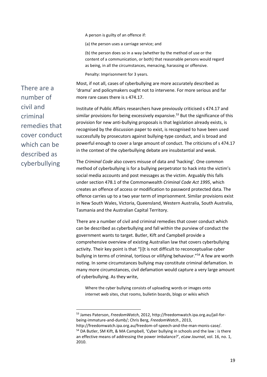A person is guilty of an offence if:

(a) the person uses a carriage service; and

(b) the person does so in a way (whether by the method of use or the content of a communication, or both) that reasonable persons would regard as being, in all the circumstances, menacing, harassing or offensive.

Penalty: Imprisonment for 3 years.

Most, if not all, cases of cyberbullying are more accurately described as 'drama' and policymakers ought not to intervene. For more serious and far more rare cases there is s 474.17.

Institute of Public Affairs researchers have previously criticised s 474.17 and similar provisions for being excessively expansive.<sup>53</sup> But the significance of this provision for new anti-bullying proposals is that legislation already exists, is recognised by the discussion paper to exist, is recognised to have been used successfully by prosecutors against bullying-type conduct, and is broad and powerful enough to cover a large amount of conduct. The criticisms of s 474.17 in the context of the cyberbullying debate are insubstantial and weak.

The *Criminal Code* also covers misuse of data and 'hacking'. One common method of cyberbullying is for a bullying perpetrator to hack into the victim's social media accounts and post messages as the victim. Arguably this falls under section 478.1 of the Commonwealth *Criminal Code Act 1995*, which creates an offence of access or modification to password protected data. The offence carries up to a two year term of imprisonment. Similar provisions exist in New South Wales, Victoria, Queensland, Western Australia, South Australia, Tasmania and the Australian Capital Territory.

There are a number of civil and criminal remedies that cover conduct which can be described as cyberbullying and fall within the purview of conduct the government wants to target. Butler, Kift and Campbell provide a comprehensive overview of existing Australian law that covers cyberbullying activity. Their key point is that "[i]t is not difficult to reconceptualise cyber bullying in terms of criminal, tortious or vilifying behaviour."<sup>54</sup> A few are worth noting. In some circumstances bullying may constitute criminal defamation. In many more circumstances, civil defamation would capture a very large amount of cyberbullying. As they write,

Where the cyber bullying consists of uploading words or images onto internet web sites, chat rooms, bulletin boards, blogs or wikis which

There are a number of civil and criminal remedies that cover conduct which can be described as cyberbullying

**.** 

<sup>53</sup> James Paterson, *FreedomWatch*, 2012, http://freedomwatch.ipa.org.au/jail-forbeing-immature-and-dumb/; Chris Berg, *FreedomWatch*., 2013,

http://freedomwatch.ipa.org.au/freedom-of-speech-and-the-man-monis-case/. <sup>54</sup> DA Butler, SM Kift, & MA Campbell, 'Cyber bullying in schools and the law : is there an effective means of addressing the power imbalance?', *eLaw Journal*, vol. 16, no. 1, 2010.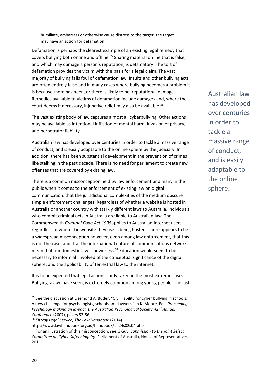humiliate, embarrass or otherwise cause distress to the target, the target may have an action for defamation.

Defamation is perhaps the clearest example of an existing legal remedy that covers bullying both online and offline.<sup>55</sup> Sharing material online that is false, and which may damage a person's reputation, is defamatory. The tort of defamation provides the victim with the basis for a legal claim. The vast majority of bullying falls foul of defamation law. Insults and other bullying acts are often entirely false and in many cases where bullying becomes a problem it is because there has been, or there is likely to be, reputational damage. Remedies available to victims of defamation include damages and, where the court deems it necessary, injunctive relief may also be available.<sup>56</sup>

The vast existing body of law captures almost all cyberbullying. Other actions may be available as intentional infliction of mental harm, invasion of privacy, and perpetrator liability.

Australian law has developed over centuries in order to tackle a massive range of conduct, and is easily adaptable to the online sphere by the judiciary. In addition, there has been substantial development in the prevention of crimes like stalking in the past decade. There is no need for parliament to create new offenses that are covered by existing law.

There is a common misconception held by law enforcement and many in the public when it comes to the enforcement of existing law on digital communication: that the jurisdictional complexities of the medium obscure simple enforcement challenges. Regardless of whether a website is hosted in Australia or another country with starkly different laws to Australia, individuals who commit criminal acts in Australia are liable to Australian law. The Commonwealth *Criminal Code Act 1995*applies to Australian internet users regardless of where the website they use is being hosted. There appears to be a widespread misconception however, even among law enforcement, that this is not the case, and that the international nature of communications networks mean that our domestic law is powerless.<sup>57</sup> Education would seem to be necessary to inform all involved of the conceptual significance of the digital sphere, and the applicability of terrestrial law to the internet.

It is to be expected that legal action is only taken in the most extreme cases. Bullying, as we have seen, is extremely common among young people. The last Australian law has developed over centuries in order to tackle a massive range of conduct, and is easily adaptable to the online sphere.

<sup>&</sup>lt;sup>55</sup> See the discussion at Desmond A. Butler, "Civil liability for cyber bullying in schools: A new challenge for psychologists, schools and lawyers," in K. Moore, Eds. *Proceedings Psychology making an impact: the Australian Psychological Society 42nd Annual Conference* (2007), pages 52-56.

<sup>56</sup> *Fitzroy Legal Service, The Law Handbook* (2014)

http://www.lawhandbook.org.au/handbook/ch24s02s04.php

<sup>57</sup> For an illustration of this misconception, see G Guy, *Submission to the Joint Select Committee on Cyber-Safety Inquiry,* Parliament of Australia, House of Representatives, 2011.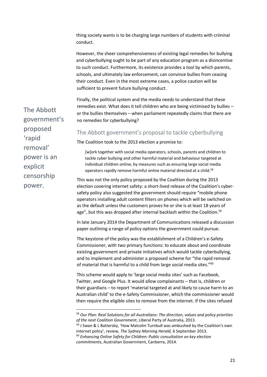thing society wants is to be charging large numbers of students with criminal conduct.

However, the sheer comprehensiveness of existing legal remedies for bullying and cyberbullying ought to be part of any education program as a disincentive to such conduct. Furthermore, its existence provides a tool by which parents, schools, and ultimately law enforcement, can convince bullies from ceasing their conduct. Even in the most extreme cases, a police caution will be sufficient to prevent future bullying conduct.

Finally, the political system and the media needs to understand that these remedies exist. What does it tell children who are being victimised by bullies – or the bullies themselves – when parliament repeatedly claims that there are no remedies for cyberbullying?

#### <span id="page-21-0"></span>The Abbott government's proposal to tackle cyberbullying

The Coalition took to the 2013 election a promise to:

[w]ork together with social media operators, schools, parents and children to tackle cyber bullying and other harmful material and behaviour targeted at individual children online, by measures such as ensuring large social media operators rapidly remove harmful online material directed at a child.<sup>58</sup>

This was not the only policy proposed by the Coalition during the 2013 election covering internet safety: a short-lived release of the Coalition's cybersafety policy also suggested the government should require "mobile phone operators installing adult content filters on phones which will be switched on as the default unless the customers proves he or she is at least 18 years of age", but this was dropped after internal backlash within the Coalition.<sup>59</sup>

In late January 2014 the Department of Communications released a discussion paper outlining a range of policy options the government could pursue.

The keystone of the policy was the establishment of a Children's e-Safety Commissioner, with two primary functions: to educate about and coordinate existing government and private initiatives which would tackle cyberbullying, and to implement and administer a proposed scheme for "the rapid removal of material that is harmful to a child from large social media sites."<sup>60</sup>

This scheme would apply to 'large social media sites' such as Facebook, Twitter, and Google Plus. It would allow complainants – that is, children or their guardians – to report 'material targeted at and likely to cause harm to an Australian child' to the e-Safety Commissioner, which the commissioner would then require the eligible sites to remove from the internet. If the sites refused

The Abbott government's proposed 'rapid removal' power is an explicit censorship power.

**.** 

<sup>58</sup> *Our Plan: Real Solutions for all Australians: The direction, values and policy priorities of the next Coalition Government*, Liberal Party of Australia, 2013.

<sup>59</sup> J Swan & L Battersby, 'How Malcolm Turnbull was ambushed by the Coalition's own internet policy', review, *The Sydney Morning Herald,* 6 September 2013.

<sup>60</sup> *Enhancing Online Safety for Children: Public consultation on key election commitments*, Australian Government, Canberra, 2014.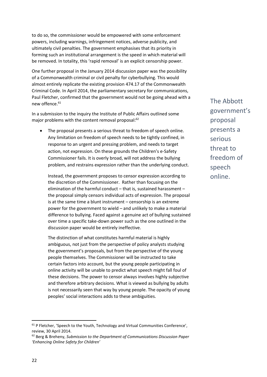to do so, the commissioner would be empowered with some enforcement powers, including warnings, infringement notices, adverse publicity, and ultimately civil penalties. The government emphasises that its priority in forming such an institutional arrangement is the speed in which material will be removed. In totality, this 'rapid removal' is an explicit censorship power.

One further proposal in the January 2014 discussion paper was the possibility of a Commonwealth criminal or civil penalty for cyberbullying. This would almost entirely replicate the existing provision 474.17 of the Commonwealth Criminal Code. In April 2014, the parliamentary secretary for communications, Paul Fletcher, confirmed that the government would not be going ahead with a new offence.<sup>61</sup>

In a submission to the inquiry the Institute of Public Affairs outlined some major problems with the content removal proposal:<sup>62</sup>

 The proposal presents a serious threat to freedom of speech online. Any limitation on freedom of speech needs to be tightly confined, in response to an urgent and pressing problem, and needs to target action, not expression. On these grounds the Children's e-Safety Commissioner fails. It is overly broad, will not address the bullying problem, and restrains expression rather than the underlying conduct.

Instead, the government proposes to censor expression according to the discretion of the Commissioner. Rather than focusing on the elimination of the harmful conduct – that is, sustained harassment – the proposal simply censors individual acts of expression. The proposal is at the same time a blunt instrument – censorship is an extreme power for the government to wield – and unlikely to make a material difference to bullying. Faced against a genuine act of bullying sustained over time a specific take-down power such as the one outlined in the discussion paper would be entirely ineffective.

The distinction of what constitutes harmful material is highly ambiguous, not just from the perspective of policy analysts studying the government's proposals, but from the perspective of the young people themselves. The Commissioner will be instructed to take certain factors into account, but the young people participating in online activity will be unable to predict what speech might fall foul of these decisions. The power to censor always involves highly subjective and therefore arbitrary decisions. What is viewed as bullying by adults is not necessarily seen that way by young people. The opacity of young peoples' social interactions adds to these ambiguities.

The Abbott government's proposal presents a serious threat to freedom of speech online.

<sup>&</sup>lt;sup>61</sup> P Fletcher, 'Speech to the Youth, Technology and Virtual Communities Conference', review, 30 April 2014.

<sup>62</sup> Berg & Breheny, *Submission to the Department of Communications Discussion Paper 'Enhancing Online Safety for Children'*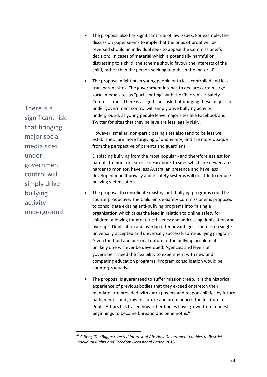There is a significant risk that bringing major social media sites under government control will simply drive bullying activity underground.

**.** 

- The proposal also has significant rule of law issues. For example, the discussion paper seems to imply that the onus of proof will be reversed should an individual seek to appeal the Commissioner's decision: 'In cases of material which is potentially harmful or distressing to a child, the scheme should favour the interests of the child, rather than the person seeking to publish the material'.
- The proposal might push young people onto less controlled and less transparent sites. The government intends to declare certain large social media sites as "participating" with the Children's e-Safety Commissioner. There is a significant risk that bringing these major sites under government control will simply drive bullying activity underground, as young people leave major sites like Facebook and Twitter for sites that they believe are less legally risky.

However, smaller, non-participating sites also tend to be less well established, are more forgiving of anonymity, and are more opaque from the perspective of parents and guardians.

Displacing bullying from the most popular - and therefore easiest for parents to monitor - sites like Facebook to sites which are newer, are harder to monitor, have less Australian presence and have less developed inbuilt privacy and e-safety systems will do little to reduce bullying victimisation.

- The proposal to consolidate existing anti-bullying programs could be counterproductive. The Children's e-Safety Commissioner is proposed to consolidate existing anti-bullying programs into "a single organisation which takes the lead in relation to online safety for children, allowing for greater efficiency and addressing duplication and overlap". Duplication and overlap offer advantages. There is no single, universally accepted and universally successful anti-bullying program. Given the fluid and personal nature of the bullying problem, it is unlikely one will ever be developed. Agencies and levels of government need the flexibility to experiment with new and competing education programs. Program consolidation would be counterproductive.
- The proposal is guaranteed to suffer mission creep. It is the historical experience of previous bodies that they exceed or stretch their mandate, are provided with extra powers and responsibilities by future parliaments, and grow in stature and prominence. The Institute of Public Affairs has traced how other bodies have grown from modest beginnings to become bureaucratic behemoths.<sup>63</sup>

<sup>63</sup> C Berg, *The Biggest Vested Interest of All: How Government Lobbies to Restrict Individual Rights and Freedom Occasional Paper*, 2013.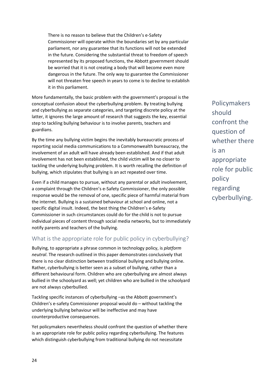There is no reason to believe that the Children's e-Safety Commissioner will operate within the boundaries set by any particular parliament, nor any guarantee that its functions will not be extended in the future. Considering the substantial threat to freedom of speech represented by its proposed functions, the Abbott government should be worried that it is not creating a body that will become even more dangerous in the future. The only way to guarantee the Commissioner will not threaten free speech in years to come is to decline to establish it in this parliament.

More fundamentally, the basic problem with the government's proposal is the conceptual confusion about the cyberbullying problem. By treating bullying and cyberbullying as separate categories, and targeting discrete policy at the latter, it ignores the large amount of research that suggests the key, essential step to tackling bullying behaviour is to involve parents, teachers and guardians.

By the time any bullying victim begins the inevitably bureaucratic process of reporting social media communications to a Commonwealth bureaucracy, the involvement of an adult will have already been established. And if that adult involvement has not been established, the child victim will be no closer to tackling the underlying bullying problem. It is worth recalling the definition of bullying, which stipulates that bullying is an act repeated over time.

Even if a child manages to pursue, without any parental or adult involvement, a complaint through the Children's e-Safety Commissioner, the only possible response would be the removal of one, specific piece of harmful material from the internet. Bullying is a sustained behaviour at school and online, not a specific digital insult. Indeed, the best thing the Children's e-Safety Commissioner in such circumstances could do for the child is not to pursue individual pieces of content through social media networks, but to immediately notify parents and teachers of the bullying.

#### <span id="page-24-0"></span>What is the appropriate role for public policy in cyberbullying?

Bullying, to appropriate a phrase common in technology policy, is *platform neutral*. The research outlined in this paper demonstrates conclusively that there is no clear distinction between traditional bullying and bullying online. Rather, cyberbullying is better seen as a subset of bullying, rather than a different behavioural form. Children who are cyberbullying are almost always bullied in the schoolyard as well; yet children who are bullied in the schoolyard are not always cyberbullied.

Tackling specific instances of cyberbullying –as the Abbott government's Children's e-safety Commissioner proposal would do – without tackling the underlying bullying behaviour will be ineffective and may have counterproductive consequences.

Yet policymakers nevertheless should confront the question of whether there is an appropriate role for public policy regarding cyberbullying. The features which distinguish cyberbullying from traditional bullying do not necessitate

Policymakers should confront the question of whether there is an appropriate role for public policy regarding cyberbullying.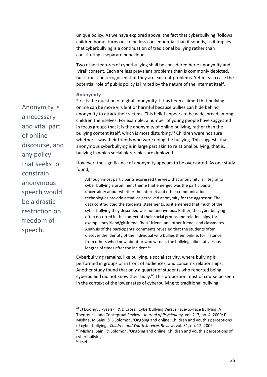unique policy. As we have explored above, the fact that cyberbullying 'follows children home' turns out to be less consequential than it sounds, as it implies that cyberbullying is a continuation of traditional bullying rather than constituting a separate behaviour.

Two other features of cyberbullying shall be considered here: anonymity and 'viral' content. Each are less prevalent problems than is commonly depicted, but it must be recognised that they are existent problems. Yet in each case the potential role of public policy is limited by the nature of the internet itself.

#### <span id="page-25-0"></span>**Anonymity**

Anonymity is a necessary and vital part of online discourse, and any policy that seeks to constrain anonymous speech would be a drastic restriction on freedom of speech.

First is the question of digital anonymity. It has been claimed that bullying online can be more virulent or harmful because bullies can hide behind anonymity to attack their victims. This belief appears to be widespread among children themselves. For example, a number of young people have suggested in focus groups that it is the anonymity of online bullying, rather than the bullying content itself, which is most disturbing.<sup>64</sup> Children were not sure whether it was their friends who were doing the bullying. This suggests that anonymous cyberbullying is in large part akin to relational bullying, that is, bullying in which social hierarchies are deployed.

However, the significance of anonymity appears to be overstated. As one study found,

Although most participants expressed the view that anonymity is integral to cyber bullying a prominent theme that emerged was the participants' uncertainty about whether the Internet and other communication technologies provide actual or perceived anonymity for the aggressor. The data contradicted the students' statements, as it emerged that much of the cyber bullying they described was not anonymous. Rather, the cyber bullying often occurred in the context of their social groups and relationships, for example boyfriend/girlfriend, 'best' friend, and other friends and classmates. Analysis of the participants' comments revealed that the students often discover the identity of the individual who bullies them online, for instance from others who know about or who witness the bullying, albeit at various lengths of times after the incident.<sup>65</sup>

Cyberbullying remains, like bullying, a social activity, where bullying is performed in groups or in front of audiences, and concerns relationships. Another study found that only a quarter of students who reported being cyberbullied did not know their bully.<sup>66</sup> This proportion must of course be seen in the context of the lower rates of cyberbullying to traditional bullying.

 $\overline{a}$ 

<sup>64</sup> JJ Dooley, J Pyzalski, & D Cross, 'Cyberbullying Versus Face-to-Face Bullying: A Theoretical and Conceptual Review', *Journal of Psychology*, vol. 217, no. 4, 2009; F Mishna, M Saini, & S Solomon, 'Ongoing and online: Children and youth's perceptions of cyber bullying', *Children and Youth Services Review*, vol. 31, no. 12, 2009.

<sup>65</sup> Mishna, Saini, & Solomon, 'Ongoing and online: Children and youth's perceptions of cyber bullying'.

 $66$  Ibid.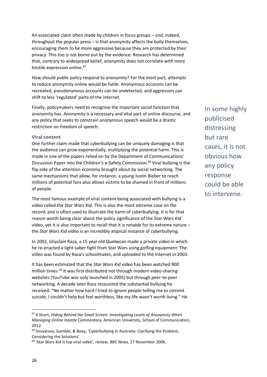An associated claim often made by children in focus groups – and, indeed, throughout the popular press – is that anonymity affects the bully themselves, encouraging them to be more aggressive because they are protected by their privacy. This too is not borne out by the evidence. Research has determined that, contrary to widespread belief, anonymity does not correlate with more hostile expression online. 67

How should public policy respond to anonymity? For the most part, attempts to reduce anonymity online would be futile. Anonymous accounts can be recreated, pseudonymous accounts can be undetected, and aggressors can shift to less 'regulated' parts of the internet.

Finally, policymakers need to recognise the important social function that anonymity has. Anonymity is a necessary and vital part of online discourse, and any policy that seeks to constrain anonymous speech would be a drastic restriction on freedom of speech.

#### <span id="page-26-0"></span>**Viral content**

One further claim made that cyberbullying can be uniquely damaging is that the audience can grow exponentially, multiplying the potential harm. This is made in one of the papers relied on by the Department of Communications' Discussion Paper into the Children's e-Safety Commission.<sup>68</sup> Viral bullying is the flip-side of the attention economy brought about by social networking. The same mechanisms that allow, for instance, a young Justin Bieber to reach millions of potential fans also allows victims to be shamed in front of millions of people.

The most famous example of viral content being associated with bullying is a video called the *Star Wars Kid*. This is also the most extreme case on the record, and is often used to illustrate the harm of cyberbullying. It is for that reason worth being clear about the policy significance of the *Star Wars Kid* video, yet it is also important to recall that it is notable for its extreme nature – the *Star Wars Kid* video is an incredibly atypical instance of cyberbullying.

In 2002, Ghyslain Raza, a 15 year old Quebecan made a private video in which he re-enacted a light-saber fight from Star Wars using golfing equipment. The video was found by Raza's schoolmates, and uploaded to the internet in 2003.

It has been estimated that the *Star Wars Kid* video has been watched 900 million times.<sup>69</sup> It was first distributed not through modern video-sharing websites (YouTube was only launched in 2005) but through peer-to-peer networking. A decade later Raza recounted the substantial bullying he received: "No matter how hard I tried to ignore people telling me to commit suicide, I couldn't help but feel worthless, like my life wasn't worth living." He In some highly publicised distressing but rare cases, it is not obvious how any policy response could be able to intervene.

<sup>67</sup> K Short, *Hiding Behind the Small Screen: Investigating Levels of Anonymity When Managing Online Hostile Commentary,* American University, School of Communication, 2012.

<sup>68</sup> Srivastava, Gamble, & Boey, 'Cyberbullying in Australia: Clarifying the Problem, Considering the Solutions'.

<sup>69</sup> 'Star Wars Kid is top viral video', review, *BBC News,* 27 November 2006.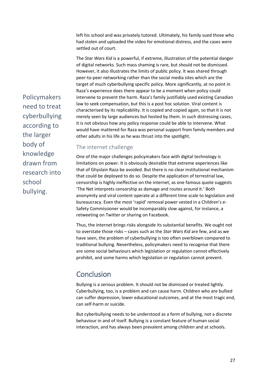left his school and was privately tutored. Ultimately, his family sued those who had stolen and uploaded the video for emotional distress, and the cases were settled out of court.

The *Star Wars Kid* is a powerful, if extreme, illustration of the potential danger of digital networks. Such mass shaming is rare, but should not be dismissed. However, it also illustrates the limits of public policy. It was shared through peer-to-peer networking rather than the social media sites which are the target of much cyberbullying specific policy. More significantly, at no point in Raza's experience does there appear to be a moment when policy could intervene to prevent the harm. Raza's family justifiably used existing Canadian law to seek compensation, but this is a post hoc solution. Viral content is characterised by its replicability. It is copied and copied again, so that it is not merely seen by large audiences but hosted by them. In such distressing cases, it is not obvious how any policy response could be able to intervene. What would have mattered for Raza was personal support from family members and other adults in his life as he was thrust into the spotlight.

#### <span id="page-27-0"></span>The internet challenge

One of the major challenges policymakers face with digital technology is limitations on power. It is obviously desirable that extreme experiences like that of Ghyslain Raza be avoided. But there is no clear institutional mechanism that could be deployed to do so. Despite the application of terrestrial law, censorship is highly ineffective on the internet; as one famous quote suggests 'The Net interprets censorship as damage and routes around it.' Both anonymity and viral content operate at a different time scale to legislation and bureaucracy. Even the most 'rapid' removal power vested in a Children's e-Safety Commissioner would be incomparably slow against, for instance, a retweeting on Twitter or sharing on Facebook.

Thus, the internet brings risks alongside its substantial benefits. We ought not to overstate those risks – cases such as the *Star Wars Kid* are few, and as we have seen, the problem of cyberbullying is too often overblown compared to traditional bullying. Nevertheless, policymakers need to recognise that there are some social behaviours which legislation or regulation cannot effectively prohibit, and some harms which legislation or regulation cannot prevent.

### <span id="page-27-1"></span>**Conclusion**

Bullying is a serious problem. It should not be dismissed or treated lightly. Cyberbullying, too, is a problem and can cause harm. Children who are bullied can suffer depression, lower educational outcomes, and at the most tragic end, can self-harm or suicide.

But cyberbullying needs to be understood as a form of bullying, not a discrete behaviour in and of itself. Bullying is a constant feature of human social interaction, and has always been prevalent among children and at schools.

Policymakers need to treat cyberbullying according to the larger body of knowledge drawn from research into school bullying.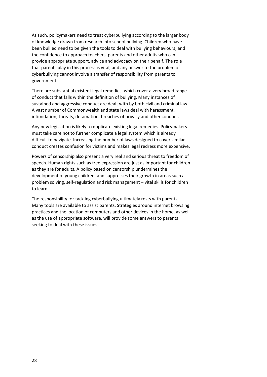As such, policymakers need to treat cyberbullying according to the larger body of knowledge drawn from research into school bullying. Children who have been bullied need to be given the tools to deal with bullying behaviours, and the confidence to approach teachers, parents and other adults who can provide appropriate support, advice and advocacy on their behalf. The role that parents play in this process is vital, and any answer to the problem of cyberbullying cannot involve a transfer of responsibility from parents to government.

There are substantial existent legal remedies, which cover a very broad range of conduct that falls within the definition of bullying. Many instances of sustained and aggressive conduct are dealt with by both civil and criminal law. A vast number of Commonwealth and state laws deal with harassment, intimidation, threats, defamation, breaches of privacy and other conduct.

Any new legislation is likely to duplicate existing legal remedies. Policymakers must take care not to further complicate a legal system which is already difficult to navigate. Increasing the number of laws designed to cover similar conduct creates confusion for victims and makes legal redress more expensive.

Powers of censorship also present a very real and serious threat to freedom of speech. Human rights such as free expression are just as important for children as they are for adults. A policy based on censorship undermines the development of young children, and suppresses their growth in areas such as problem solving, self-regulation and risk management – vital skills for children to learn.

The responsibility for tackling cyberbullying ultimately rests with parents. Many tools are available to assist parents. Strategies around internet browsing practices and the location of computers and other devices in the home, as well as the use of appropriate software, will provide some answers to parents seeking to deal with these issues.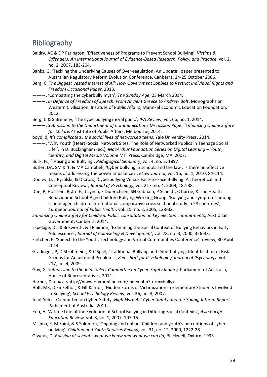### <span id="page-29-0"></span>Bibliography

- Baldry, AC & DP Farington, 'Effectiveness of Programs to Prevent School Bullying', *Victims & Offenders: An International Journal of Evidence-Based Research, Policy, and Practice*, vol. 2, no. 2, 2007, 183-204.
- Banks, G, 'Tackling the Underlying Causes of Over-regulation: An Update', paper presented to Australian Regulatory Reform Evolution Conference, Canberra, 24-25 October 2006.
- Berg, C, *The Biggest Vested Interest of All: How Government Lobbies to Restrict Individual Rights and Freedom Occasional Paper*, 2013.
- ———, 'Combatting the cyberbully myth', *The Sunday Age,* 23 March 2014.
- ———, *In Defence of Freedom of Speech: From Ancient Greece to Andrew Bolt*, Monographs on Western Civilisation, Institute of Public Affairs; Mannkal Economic Education Foundation, 2012.
- Berg, C & S Breheny, 'The cyberbullying moral panic', *IPA Review*, vol. 66, no. 1, 2014.
- ———, *Submission to the Department of Communications Discussion Paper 'Enhancing Online Safety for Children'* Institute of Public Affairs, Melbourne, 2014.
- boyd, d, *It's complicated : the social lives of networked teens*, Yale University Press, 2014.
- ———, 'Why Youth (Heart) Social Network Sites: The Role of Networked Publics in Teenage Social Life ', in D. Buckingham (ed.), *MacArthur Foundation Series on Digital Learning – Youth, Identity, and Digital Media Volume* MIT Press, Cambridge, MA, 2007.
- Burk, FL, 'Teasing and Bullying', *Pedagogical Seminary*, vol. 4, no. 3, 1897.
- Butler, DA, SM Kift, & MA Campbell, 'Cyber bullying in schools and the law : is there an effective means of addressing the power imbalance?', *eLaw Journal*, vol. 16, no. 1, 2010, 84-114.
- Dooley, JJ, J Pyzalski, & D Cross, 'Cyberbullying Versus Face-to-Face Bullying: A Theoretical and Conceptual Review', *Journal of Psychology*, vol. 217, no. 4, 2009, 182-88.
- Due, P, Holssein, Bjørn E., J Lynch, F Diderichsen, SN Gabhain, P Scheidt, C Currie, & The Health Behaviour in School-Aged Children Bullying Working Group, 'Bullying and symptoms among school-aged children: international comparative cross sectional study in 28 countries', *European Journal of Public Health*, vol. 15, no. 2, 2005, 128-32.
- *Enhancing Online Safety for Children: Public consultation on key election commitments*, Australian Government, Canberra, 2014.
- Espelage, DL, K Bosworth, & TR Simon, 'Examining the Social Context of Bullying Behaviors in Early Adolescence', *Journal of Counseling & Development*, vol. 78, no. 3, 2000, 326-33.
- Fletcher, P, 'Speech to the Youth, Technology and Virtual Communities Conference', review, 30 April 2014.
- Gradinger, P, D Strohmeier, & C Spiel, 'Traditional Bullying and Cyberbullying: Identification of Risk Groups for Adjustment Problems', *Zeitschrift fur Psychologie / Journal of Psychology*, vol. 217, no. 4, 2009.
- Guy, G, *Submission to the Joint Select Committee on Cyber-Safety Inquiry,* Parliament of Australia, House of Representatives, 2011.
- Harper, D, bully, <http://www.etymonline.com/index.php?term=bully>.
- Holt, MK, D Finkelhor, & GK Kantor, 'Hidden Forms of Victimization in Elementary Students Involved in Bullying', *School Psychology Review*, vol. 36, no. 3, 2007.
- Joint Select Committee on Cyber-Safety, *High-Wire Act Cyber-Safety and the Young, Interim Report,*  Parliament of Australia, 2011.
- Koo, H, 'A Time Line of the Evolution of School Bullying in Differing Social Contexts', *Asia Pacific Education Review*, vol. 8, no. 1, 2007, 107-16.
- Mishna, F, M Saini, & S Solomon, 'Ongoing and online: Children and youth's perceptions of cyber bullying', *Children and Youth Services Review*, vol. 31, no. 12, 2009, 1222-28.
- Olweus, D, *Bullying at school : what we know and what we can do*, Blackwell, Oxford, 1993.